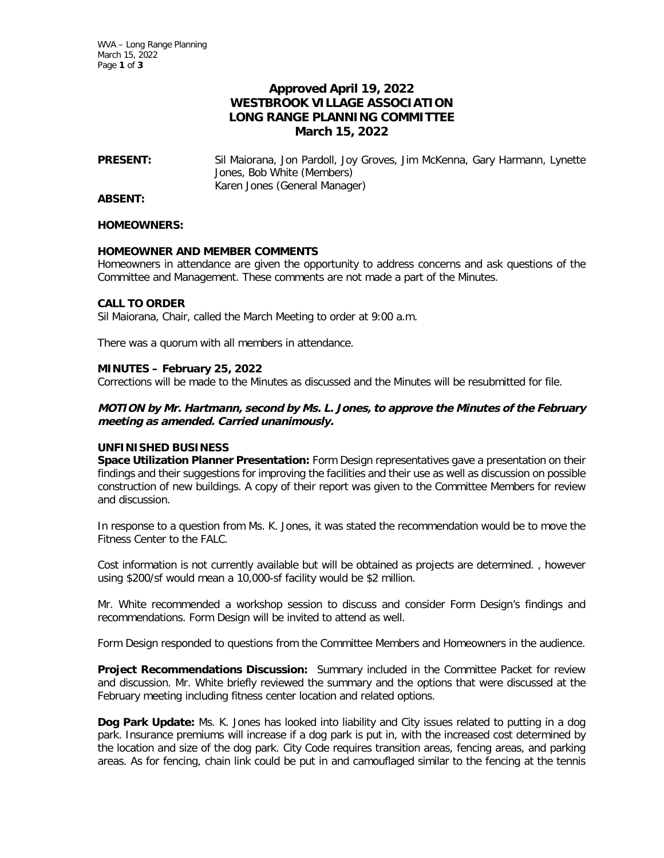# **Approved April 19, 2022 WESTBROOK VILLAGE ASSOCIATION LONG RANGE PLANNING COMMITTEE March 15, 2022**

**PRESENT:** Sil Maiorana, Jon Pardoll, Joy Groves, Jim McKenna, Gary Harmann, Lynette Jones, Bob White (Members) Karen Jones (General Manager)

**ABSENT:** 

#### **HOMEOWNERS:**

### **HOMEOWNER AND MEMBER COMMENTS**

Homeowners in attendance are given the opportunity to address concerns and ask questions of the Committee and Management. These comments are not made a part of the Minutes.

# **CALL TO ORDER**

Sil Maiorana, Chair, called the March Meeting to order at 9:00 a.m.

There was a quorum with all members in attendance.

### **MINUTES – February 25, 2022**

Corrections will be made to the Minutes as discussed and the Minutes will be resubmitted for file.

## **MOTION by Mr. Hartmann, second by Ms. L. Jones, to approve the Minutes of the February meeting as amended. Carried unanimously.**

### **UNFINISHED BUSINESS**

**Space Utilization Planner Presentation:** Form Design representatives gave a presentation on their findings and their suggestions for improving the facilities and their use as well as discussion on possible construction of new buildings. A copy of their report was given to the Committee Members for review and discussion.

In response to a question from Ms. K. Jones, it was stated the recommendation would be to move the Fitness Center to the FALC.

Cost information is not currently available but will be obtained as projects are determined. , however using \$200/sf would mean a 10,000-sf facility would be \$2 million.

Mr. White recommended a workshop session to discuss and consider Form Design's findings and recommendations. Form Design will be invited to attend as well.

Form Design responded to questions from the Committee Members and Homeowners in the audience.

**Project Recommendations Discussion:** Summary included in the Committee Packet for review and discussion. Mr. White briefly reviewed the summary and the options that were discussed at the February meeting including fitness center location and related options.

**Dog Park Update:** Ms. K. Jones has looked into liability and City issues related to putting in a dog park. Insurance premiums will increase if a dog park is put in, with the increased cost determined by the location and size of the dog park. City Code requires transition areas, fencing areas, and parking areas. As for fencing, chain link could be put in and camouflaged similar to the fencing at the tennis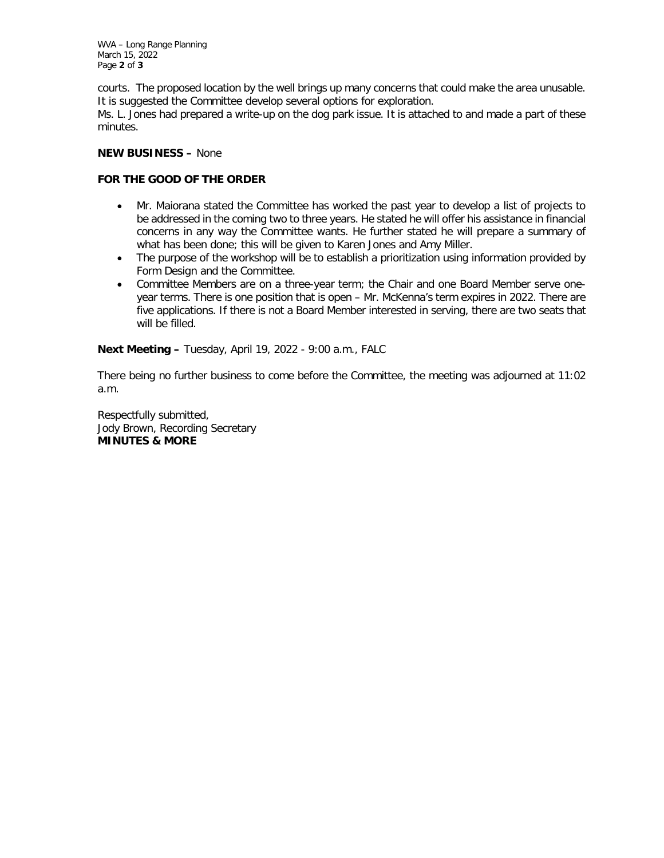WVA – Long Range Planning March 15, 2022 Page **2** of **3**

courts. The proposed location by the well brings up many concerns that could make the area unusable. It is suggested the Committee develop several options for exploration.

Ms. L. Jones had prepared a write-up on the dog park issue. It is attached to and made a part of these minutes.

### **NEW BUSINESS –** None

## **FOR THE GOOD OF THE ORDER**

- Mr. Maiorana stated the Committee has worked the past year to develop a list of projects to be addressed in the coming two to three years. He stated he will offer his assistance in financial concerns in any way the Committee wants. He further stated he will prepare a summary of what has been done; this will be given to Karen Jones and Amy Miller.
- The purpose of the workshop will be to establish a prioritization using information provided by Form Design and the Committee.
- Committee Members are on a three-year term; the Chair and one Board Member serve oneyear terms. There is one position that is open – Mr. McKenna's term expires in 2022. There are five applications. If there is not a Board Member interested in serving, there are two seats that will be filled.

**Next Meeting –** Tuesday, April 19, 2022 - 9:00 a.m., FALC

There being no further business to come before the Committee, the meeting was adjourned at 11:02 a.m.

Respectfully submitted, Jody Brown, Recording Secretary **MINUTES & MORE**